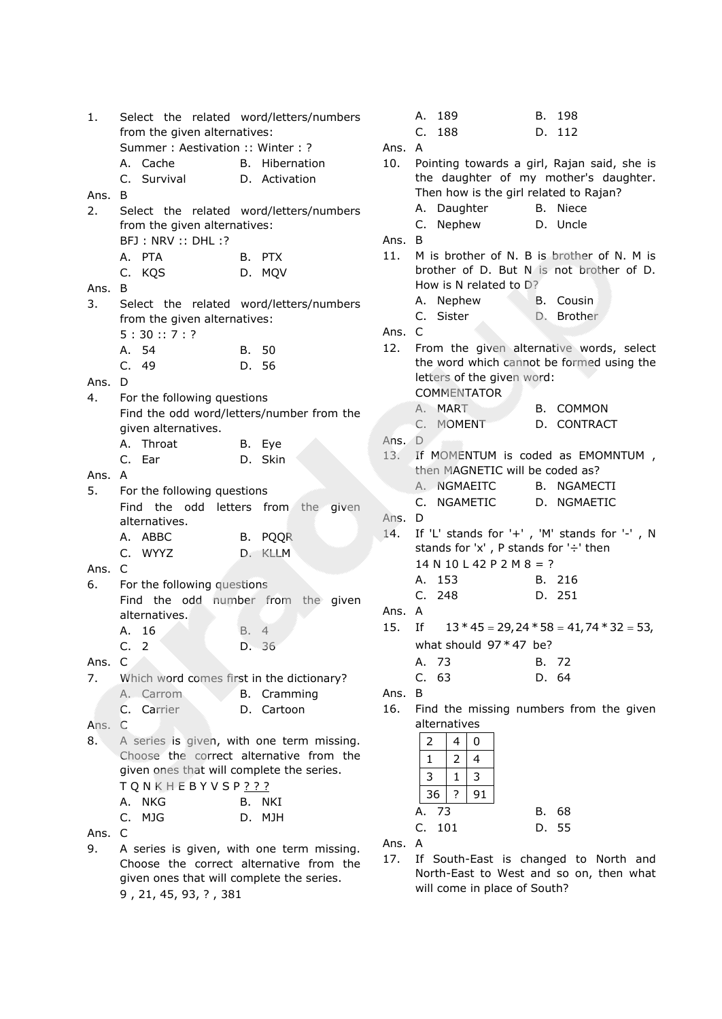| 1.     |                                           | Select the related word/letters/numbers   |        | А.             | 189                                    | B. 198                                       |
|--------|-------------------------------------------|-------------------------------------------|--------|----------------|----------------------------------------|----------------------------------------------|
|        | from the given alternatives:              |                                           |        | C.             | 188                                    | D. 112                                       |
|        | Summer: Aestivation: Winter: ?            |                                           | Ans. A |                |                                        |                                              |
|        | A. Cache                                  | B. Hibernation                            | 10.    |                |                                        | Pointing towards a girl, Rajan said, she is  |
|        | C. Survival                               | D. Activation                             |        |                |                                        | the daughter of my mother's daughter.        |
| Ans.   | B.                                        |                                           |        |                | Then how is the girl related to Rajan? |                                              |
| 2.     |                                           | Select the related word/letters/numbers   |        |                | A. Daughter                            | B. Niece                                     |
|        | from the given alternatives:              |                                           |        |                | C. Nephew                              | D. Uncle                                     |
|        | BFJ: NRV: : DHL:?                         |                                           | Ans. B |                |                                        |                                              |
|        | A. PTA                                    | B. PTX                                    | 11.    |                |                                        | M is brother of N. B is brother of N. M is   |
|        | C. KQS                                    | D. MQV                                    |        |                |                                        | brother of D. But N is not brother of D.     |
| Ans. B |                                           |                                           |        |                | How is N related to D?                 |                                              |
|        |                                           |                                           |        |                | A. Nephew                              | B. Cousin                                    |
| 3.     |                                           | Select the related word/letters/numbers   |        |                | C. Sister                              | D. Brother                                   |
|        | from the given alternatives:              |                                           | Ans. C |                |                                        |                                              |
|        | 5:30::7:?                                 |                                           | 12.    |                |                                        | From the given alternative words, select     |
|        | A. 54                                     | B. 50                                     |        |                |                                        | the word which cannot be formed using the    |
|        | C. 49                                     | D. 56                                     |        |                | letters of the given word:             |                                              |
| Ans.   | D                                         |                                           |        |                |                                        |                                              |
| 4.     | For the following questions               |                                           |        |                | <b>COMMENTATOR</b>                     |                                              |
|        |                                           | Find the odd word/letters/number from the |        |                | A. MART                                | <b>B. COMMON</b>                             |
|        | given alternatives.                       |                                           |        |                | C. MOMENT                              | D. CONTRACT                                  |
|        | A. Throat                                 | B. Eye                                    | Ans. D |                |                                        |                                              |
|        | C. Ear                                    | D. Skin                                   | 13.    |                |                                        | If MOMENTUM is coded as EMOMNTUM,            |
| Ans. A |                                           |                                           |        |                | then MAGNETIC will be coded as?        |                                              |
| 5.     | For the following questions               |                                           |        |                | A. NGMAEITC                            | B. NGAMECTI                                  |
|        |                                           | Find the odd letters from the given       |        |                | C. NGAMETIC                            | D. NGMAETIC                                  |
|        | alternatives.                             |                                           | Ans. D |                |                                        |                                              |
|        | A. ABBC                                   | B. PQQR                                   | 14.    |                |                                        | If 'L' stands for '+', 'M' stands for '-', N |
|        | C. WYYZ                                   | D. KLLM                                   |        |                | stands for 'x', P stands for '÷' then  |                                              |
| Ans. C |                                           |                                           |        |                | $14 N 10 L 42 P 2 M 8 = ?$             |                                              |
| 6.     | For the following questions               |                                           |        |                | A. 153                                 | B. 216                                       |
|        |                                           | Find the odd number from the given        |        | C.             | 248                                    | D. 251                                       |
|        | alternatives.                             |                                           | Ans. A |                |                                        |                                              |
|        | A. 16                                     | $\overline{4}$<br>В.                      | 15.    | Ιf             |                                        | $13 * 45 = 29, 24 * 58 = 41, 74 * 32 = 53,$  |
|        | C. 2                                      | D. 36                                     |        |                | what should $97 * 47$ be?              |                                              |
|        |                                           |                                           |        |                |                                        |                                              |
| Ans. C |                                           |                                           |        | Α.             | -73                                    | B. 72                                        |
| 7.     |                                           | Which word comes first in the dictionary? |        | C.             | 63                                     | D. 64                                        |
|        | A. Carrom                                 | <b>B.</b> Cramming                        | Ans. B |                |                                        |                                              |
|        | C. Carrier                                | D. Cartoon                                | 16.    |                |                                        | Find the missing numbers from the given      |
| Ans. C |                                           |                                           |        |                | alternatives                           |                                              |
| 8.     |                                           | A series is given, with one term missing. |        | $\overline{2}$ | 4<br>0                                 |                                              |
|        |                                           | Choose the correct alternative from the   |        | 1              | 2<br>4                                 |                                              |
|        | given ones that will complete the series. |                                           |        | 3              | 3<br>$\mathbf{1}$                      |                                              |
|        | T Q N K H E B Y V S P <u>? ? ?</u>        |                                           |        |                | ?<br>91<br>36                          |                                              |
|        | A. NKG                                    | B. NKI                                    |        |                |                                        |                                              |
|        | C.<br>MJG                                 | D. MJH                                    |        | Α.             | - 73                                   | B. 68                                        |
| Ans.   | C                                         |                                           |        | C.             | 101                                    | D. 55                                        |
| 9.     |                                           | A series is given, with one term missing. | Ans. A |                |                                        |                                              |
|        |                                           | Choose the correct alternative from the   | 17.    |                |                                        | If South-East is changed to North and        |
|        | given ones that will complete the series. |                                           |        |                |                                        | North-East to West and so on, then what      |
|        | 9, 21, 45, 93, ?, 381                     |                                           |        |                | will come in place of South?           |                                              |
|        |                                           |                                           |        |                |                                        |                                              |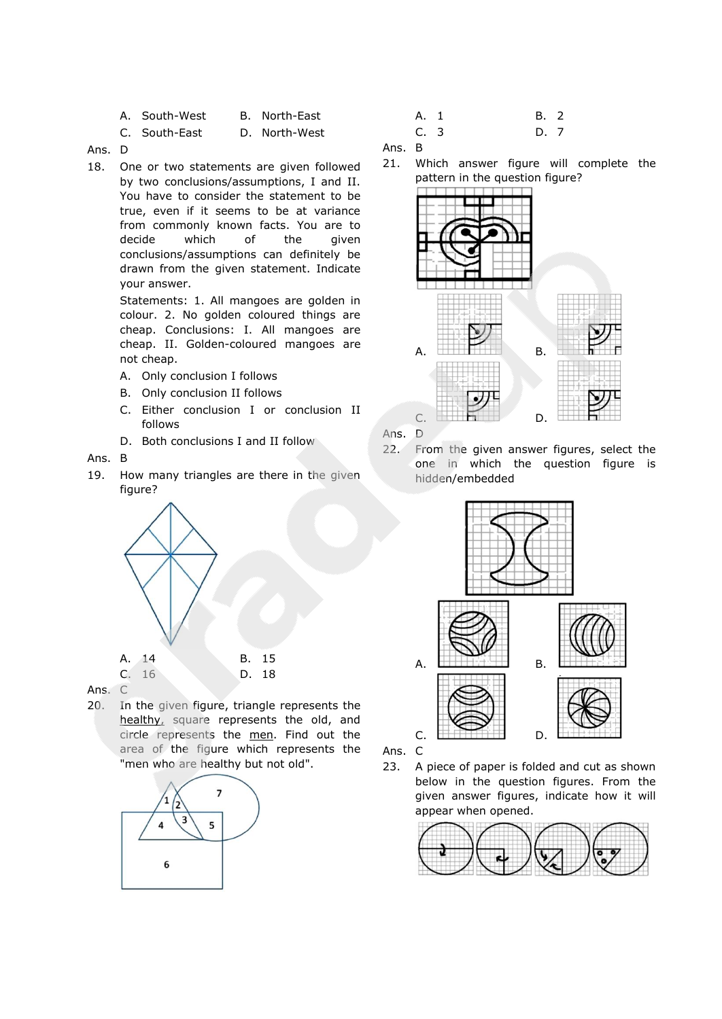| A. South-West | B. North-East |
|---------------|---------------|
| C. South-East | D. North-West |

Ans. D

18. One or two statements are given followed by two conclusions/assumptions, I and II. You have to consider the statement to be true, even if it seems to be at variance from commonly known facts. You are to decide which of the given conclusions/assumptions can definitely be drawn from the given statement. Indicate your answer.

> Statements: 1. All mangoes are golden in colour. 2. No golden coloured things are cheap. Conclusions: I. All mangoes are cheap. II. Golden-coloured mangoes are not cheap.

- A. Only conclusion I follows
- B. Only conclusion II follows
- C. Either conclusion I or conclusion II follows
- D. Both conclusions I and II follow

## Ans. B

19. How many triangles are there in the given figure?





20. In the given figure, triangle represents the healthy, square represents the old, and circle represents the men. Find out the area of the figure which represents the "men who are healthy but not old".



| A. 1           | B. 2 |  |
|----------------|------|--|
| C <sub>3</sub> | D. 7 |  |

Ans. B

21. Which answer figure will complete the pattern in the question figure?



Ans. D

22. From the given answer figures, select the one in which the question figure is hidden/embedded



Ans. C

23. A piece of paper is folded and cut as shown below in the question figures. From the given answer figures, indicate how it will appear when opened.

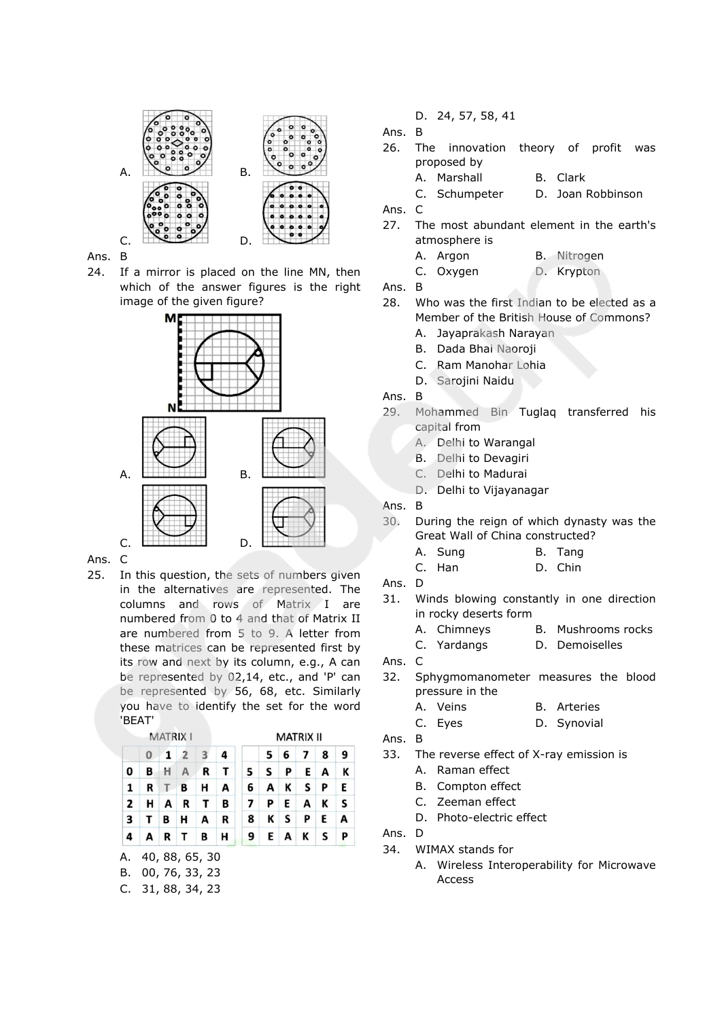

Ans. B

24. If a mirror is placed on the line MN, then which of the answer figures is the right image of the given figure?



Ans. C

25. In this question, the sets of numbers given in the alternatives are represented. The columns and rows of Matrix I are numbered from 0 to 4 and that of Matrix II are numbered from 5 to 9. A letter from these matrices can be represented first by its row and next by its column, e.g., A can be represented by 02,14, etc., and 'P' can be represented by 56, 68, etc. Similarly you have to identify the set for the word 'BEAT'

| <b>MATRIX I</b> |          |                 |   | <b>MATRIX II</b>        |              |                          |     |    |                |    |     |
|-----------------|----------|-----------------|---|-------------------------|--------------|--------------------------|-----|----|----------------|----|-----|
|                 | $\bf{0}$ | $1\overline{2}$ |   | $\overline{\mathbf{3}}$ | 4            |                          | 5   | 6  | 7 <sup>1</sup> | 8  | - 9 |
| 0               | B        | H A             |   | R                       | $\mathbf{T}$ | 5.                       | ∣S. | P  |                | EA | к   |
| 1               | R        | T B             |   | н                       | A            | 6                        | A   |    | K S P          |    | E   |
| $\overline{2}$  |          | H A R           |   | $\mathbf{T}$            | В            | $\overline{\phantom{a}}$ | P   | E  | AK             |    | -S  |
| 3               | T B      |                 | H | A                       | R            | 8                        |     | KS | PE             |    | A   |
| 4               | A        | R T             |   | В                       | н            | 9                        |     |    | EAK            | S  |     |

- A. 40, 88, 65, 30
- B. 00, 76, 33, 23
- C. 31, 88, 34, 23

D. 24, 57, 58, 41

Ans. B

- 26. The innovation theory of profit was proposed by
	- A. Marshall B. Clark

C. Schumpeter D. Joan Robbinson

- Ans. C
- 27. The most abundant element in the earth's atmosphere is
	- A. Argon B. Nitrogen
	- C. Oxygen D. Krypton

Ans. B

- 28. Who was the first Indian to be elected as a Member of the British House of Commons? A. Jayaprakash Narayan
	- B. Dada Bhai Naoroji
	- C. Ram Manohar Lohia
	- D. Sarojini Naidu
- Ans. B
- 29. Mohammed Bin Tuglaq transferred his capital from
	- A. Delhi to Warangal
	- B. Delhi to Devagiri
	- C. Delhi to Madurai
	- D. Delhi to Vijayanagar

Ans. B

- 30. During the reign of which dynasty was the Great Wall of China constructed?
	- A. Sung B. Tang
	- C. Han D. Chin

- 31. Winds blowing constantly in one direction in rocky deserts form
	- A. Chimneys B. Mushrooms rocks
	- C. Yardangs D. Demoiselles

Ans. C

- 32. Sphygmomanometer measures the blood pressure in the
	- A. Veins B. Arteries
	- C. Eyes D. Synovial

Ans. B

- 33. The reverse effect of X-ray emission is
	- A. Raman effect
	- B. Compton effect
	- C. Zeeman effect
	- D. Photo-electric effect

Ans. D

- 34. WIMAX stands for
	- A. Wireless Interoperability for Microwave Access

Ans. D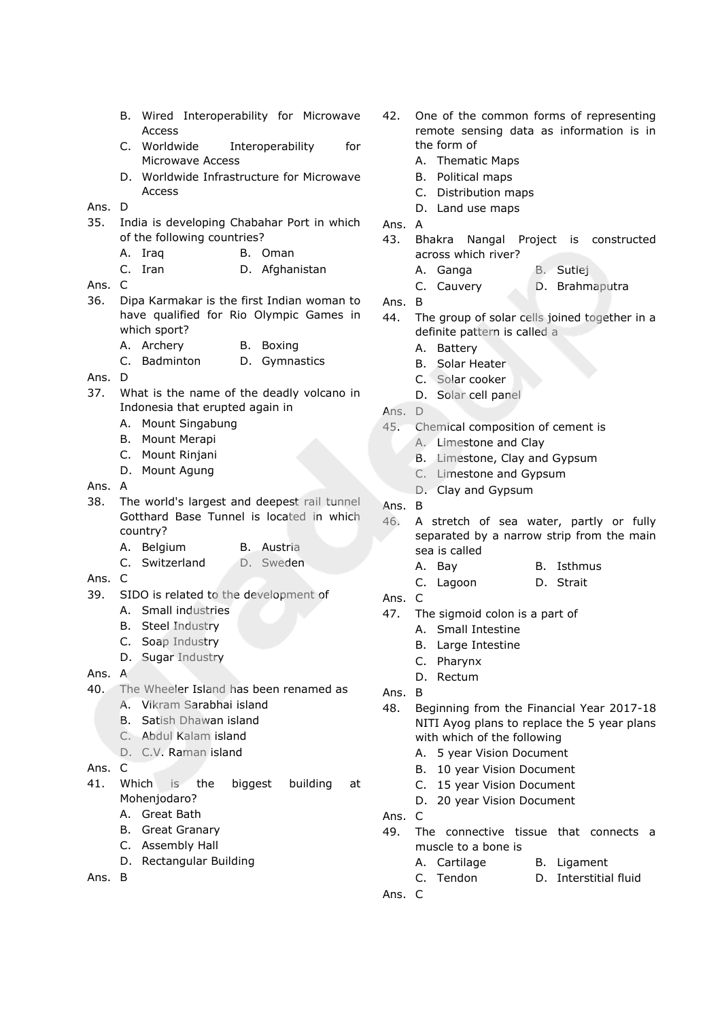- B. Wired Interoperability for Microwave **Access**
- C. Worldwide Interoperability for Microwave Access
- D. Worldwide Infrastructure for Microwave Access

# Ans. D

- 35. India is developing Chabahar Port in which of the following countries?
	- A. Iraq B. Oman
	- C. Iran D. Afghanistan
- Ans. C
- 36. Dipa Karmakar is the first Indian woman to have qualified for Rio Olympic Games in which sport?
	- A. Archery B. Boxing
	- C. Badminton D. Gymnastics

#### Ans. D

- 37. What is the name of the deadly volcano in Indonesia that erupted again in
	- A. Mount Singabung
	- B. Mount Merapi
	- C. Mount Rinjani
	- D. Mount Agung
- Ans. A
- 38. The world's largest and deepest rail tunnel Gotthard Base Tunnel is located in which country?
	- A. Belgium B. Austria
	- C. Switzerland D. Sweden
- Ans. C
- 39. SIDO is related to the development of
	- A. Small industries
	- B. Steel Industry
	- C. Soap Industry
	- D. Sugar Industry
- Ans. A
- 40. The Wheeler Island has been renamed as
	- A. Vikram Sarabhai island
	- B. Satish Dhawan island
	- C. Abdul Kalam island
	- D. C.V. Raman island

### Ans. C

- 41. Which is the biggest building at Mohenjodaro?
	- A. Great Bath
	- B. Great Granary
	- C. Assembly Hall
	- D. Rectangular Building

Ans. B

- 42. One of the common forms of representing remote sensing data as information is in the form of
	- A. Thematic Maps
	- B. Political maps
	- C. Distribution maps
	- D. Land use maps
- Ans. A
- 43. Bhakra Nangal Project is constructed across which river?
	- A. Ganga B. Sutlej
	- C. Cauvery D. Brahmaputra

- 44. The group of solar cells joined together in a definite pattern is called a
	- A. Battery
	- B. Solar Heater
	- C. Solar cooker
	- D. Solar cell panel
- Ans. D
- 45. Chemical composition of cement is
	- A. Limestone and Clay
	- B. Limestone, Clay and Gypsum
	- C. Limestone and Gypsum
	- D. Clay and Gypsum
- Ans. B
- 46. A stretch of sea water, partly or fully separated by a narrow strip from the main sea is called
	- A. Bay B. Isthmus
	- C. Lagoon D. Strait
- Ans. C
- 47. The sigmoid colon is a part of
	- A. Small Intestine
	- B. Large Intestine
	- C. Pharynx
	- D. Rectum
- Ans. B
- 48. Beginning from the Financial Year 2017-18 NITI Ayog plans to replace the 5 year plans with which of the following
	- A. 5 year Vision Document
	- B. 10 year Vision Document
	- C. 15 year Vision Document
	- D. 20 year Vision Document
- Ans. C
- 49. The connective tissue that connects a muscle to a bone is
	- A. Cartilage B. Ligament
	- C. Tendon D. Interstitial fluid
- Ans. C

Ans. B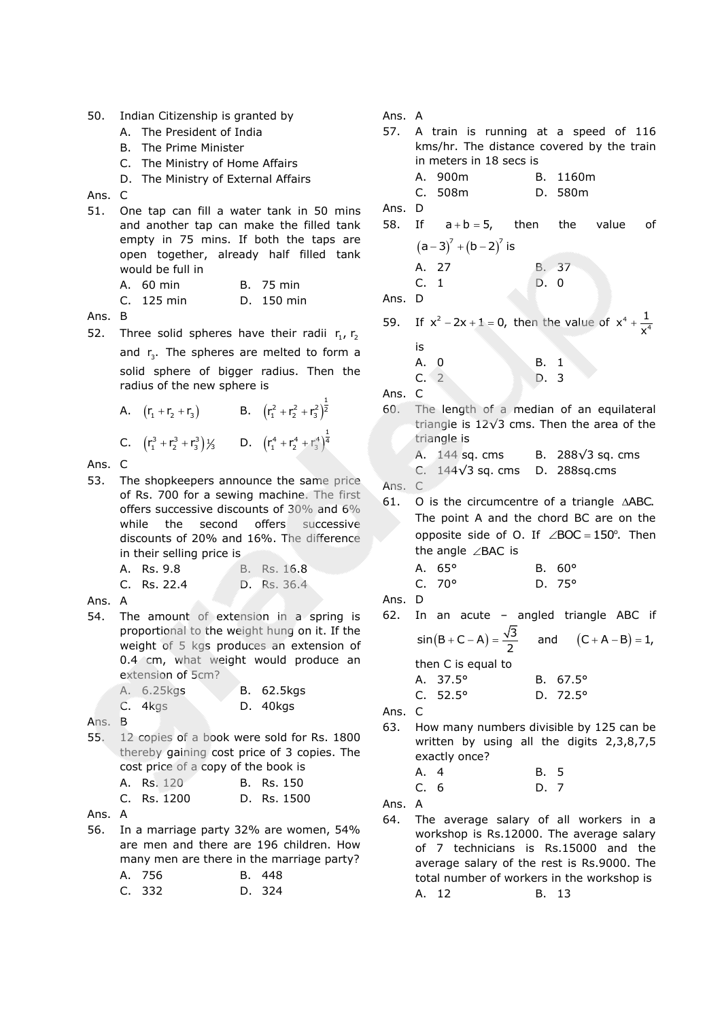- 50. Indian Citizenship is granted by
	- A. The President of India
	- B. The Prime Minister
	- C. The Ministry of Home Affairs
	- D. The Ministry of External Affairs

Ans. C

51. One tap can fill a water tank in 50 mins and another tap can make the filled tank empty in 75 mins. If both the taps are open together, already half filled tank would be full in

| A. 60 min    | B. 75 min  |
|--------------|------------|
| $C.$ 125 min | D. 150 min |

Ans. B

52. Three solid spheres have their radii  $r_1$ ,  $r_2$ and  $r_3$ . The spheres are melted to form a solid sphere of bigger radius. Then the radius of the new sphere is

A.  $(r_1 + r_2 + r_3)$  B.  $(r_1^2 + r_2^2 + r_3^2)$  $(r_1^2 + r_2^2 + r_3^2)^{\frac{1}{2}}$ C.  $(r_1^3 + r_2^3 + r_3^3)$  /<sub>3</sub> D.  $(r_1^4 + r_2^4 + r_3^4)$  $(r_1^4 + r_2^4 + r_3^4)^{\frac{1}{4}}$ 

Ans. C

53. The shopkeepers announce the same price of Rs. 700 for a sewing machine. The first offers successive discounts of 30% and 6% while the second offers successive discounts of 20% and 16%. The difference in their selling price is

| A. Rs. 9.8  | B. Rs. 16.8 |
|-------------|-------------|
| C. Rs. 22.4 | D. Rs. 36.4 |

Ans. A

54. The amount of extension in a spring is proportional to the weight hung on it. If the weight of 5 kgs produces an extension of 0.4 cm, what weight would produce an extension of 5cm?

| A. 6.25kg <b>s</b> | B. 62.5kgs |
|--------------------|------------|
| $C.$ 4 kgs         | D. 40kgs   |

- Ans. B
- 55. 12 copies of a book were sold for Rs. 1800 thereby gaining cost price of 3 copies. The cost price of a copy of the book is

| <b>A. Rs.</b> 120 |  | B. Rs. 150          |
|-------------------|--|---------------------|
| C De 1200         |  | D <sub>c</sub> 1500 |

| U. RS. IZUU | D. RS. IJUU |  |
|-------------|-------------|--|
|             |             |  |

- Ans. A
- 56. In a marriage party 32% are women, 54% are men and there are 196 children. How many men are there in the marriage party? A. 756 B. 448

| C. 332 | D. 324 |
|--------|--------|
|        |        |

Ans. A

|        | 57. A train is running at a speed of 116<br>kms/hr. The distance covered by the train<br>in meters in 18 secs is                                                                                                       |              |                                        |
|--------|------------------------------------------------------------------------------------------------------------------------------------------------------------------------------------------------------------------------|--------------|----------------------------------------|
|        | A. 900m<br>C. 508m                                                                                                                                                                                                     |              | B. 1160m<br>D. 580m                    |
| Ans. D | 58. If $a+b=5$ , then the value of                                                                                                                                                                                     |              |                                        |
|        | $(a-3)^7 + (b-2)^7$ is                                                                                                                                                                                                 |              |                                        |
|        | A. 27                                                                                                                                                                                                                  | B. 37        |                                        |
|        | C. 1                                                                                                                                                                                                                   | D. 0         |                                        |
| Ans. D |                                                                                                                                                                                                                        |              |                                        |
|        | 59. If $x^2 - 2x + 1 = 0$ , then the value of $x^4 + \frac{1}{x^4}$                                                                                                                                                    |              |                                        |
|        | is                                                                                                                                                                                                                     |              |                                        |
|        | A. 0<br>C.2                                                                                                                                                                                                            | B. 1         |                                        |
| Ans. C |                                                                                                                                                                                                                        | D. 3         |                                        |
|        | 60. The length of a median of an equilateral                                                                                                                                                                           |              |                                        |
|        | triangle is $12\sqrt{3}$ cms. Then the area of the<br>triangle is                                                                                                                                                      |              |                                        |
|        | A. 144 sq. cms B. 288 $\sqrt{3}$ sq. cms                                                                                                                                                                               |              |                                        |
|        | C. $144\sqrt{3}$ sq. cms D. 288sq.cms                                                                                                                                                                                  |              |                                        |
| Ans. C |                                                                                                                                                                                                                        |              |                                        |
|        | 61. O is the circumcentre of a triangle AABC.<br>The point A and the chord BC are on the<br>opposite side of O. If $\angle BOC = 150^\circ$ . Then                                                                     |              |                                        |
|        | the angle $\angle$ BAC is                                                                                                                                                                                              |              |                                        |
|        | A. 65°                                                                                                                                                                                                                 |              | $B. 60^{\circ}$                        |
|        | C.70°                                                                                                                                                                                                                  |              | $D.75^{\circ}$                         |
| Ans. D |                                                                                                                                                                                                                        |              |                                        |
|        | 62. In an acute - angled triangle ABC if                                                                                                                                                                               |              |                                        |
|        | $sin(B+C-A) = \frac{\sqrt{3}}{2}$ and $(C+A-B) = 1$ ,                                                                                                                                                                  |              |                                        |
|        | then C is equal to                                                                                                                                                                                                     |              |                                        |
|        | A. 37.5°<br>C. 52.5°                                                                                                                                                                                                   |              | B. $67.5^{\circ}$<br>D. $72.5^{\circ}$ |
| Ans.   | C                                                                                                                                                                                                                      |              |                                        |
| 63.    | How many numbers divisible by 125 can be<br>written by using all the digits 2,3,8,7,5                                                                                                                                  |              |                                        |
|        | exactly once?                                                                                                                                                                                                          |              |                                        |
|        | A. 4<br>C. 6                                                                                                                                                                                                           | B. 5<br>D. 7 |                                        |
| Ans.   | А                                                                                                                                                                                                                      |              |                                        |
| 64.    | The average salary of all workers in a<br>workshop is Rs.12000. The average salary<br>of 7 technicians is Rs.15000 and the<br>average salary of the rest is Rs.9000. The<br>total number of workers in the workshop is |              |                                        |
|        | A. 12                                                                                                                                                                                                                  | B.           | 13                                     |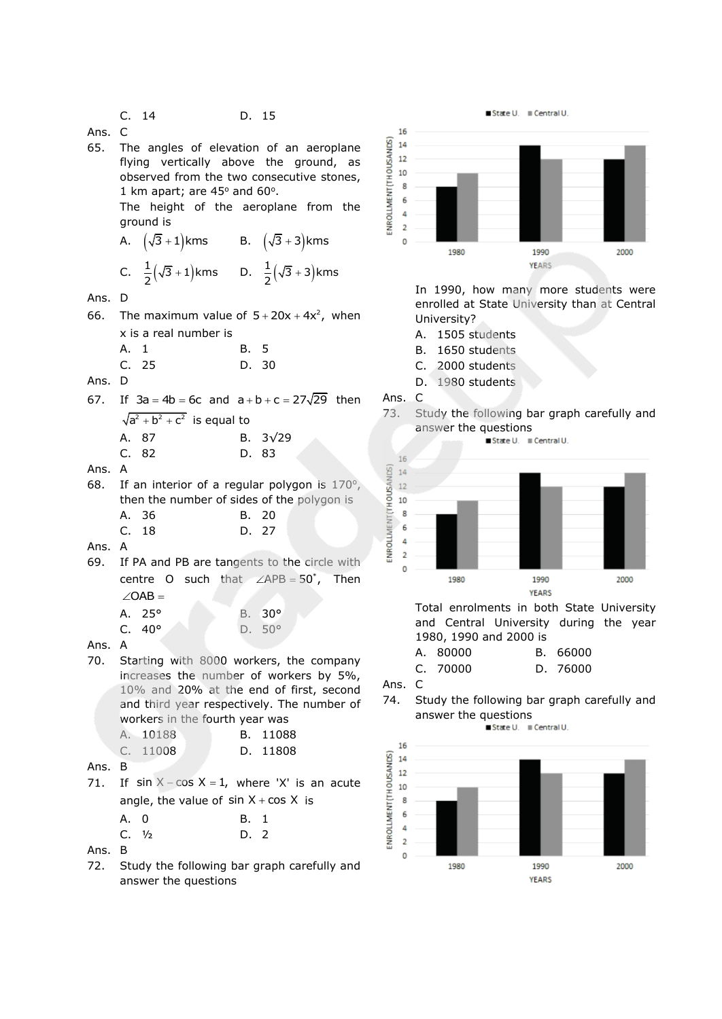C. 14 D. 15

Ans. C

65. The angles of elevation of an aeroplane flying vertically above the ground, as observed from the two consecutive stones, 1 km apart; are  $45^{\circ}$  and  $60^{\circ}$ .

The height of the aeroplane from the ground is  $\sqrt{5}$   $\sqrt{2}$  $\sqrt{5}$   $\sqrt{1}$ 

A. 
$$
(\sqrt{3} + 1)
$$
 kms  
B.  $(\sqrt{3} + 3)$  kms  
C.  $\frac{1}{2}(\sqrt{3} + 1)$  kms  
D.  $\frac{1}{2}(\sqrt{3} + 3)$  kms

Ans. D

66. The maximum value of  $5+20x+4x^2$ , when x is a real number is A. 1 B. 5

|        | C.25 |  |  | D. 30 |
|--------|------|--|--|-------|
| Ans. D |      |  |  |       |

- $67.$  $3a = 4b = 6c$  and  $a + b + c = 27\sqrt{29}$  then
	- $a^2 + b^2 + c^2$  is equal to A. 87 B. 3√29 C. 82 D. 83
- Ans. A
- 68. If an interior of a regular polygon is  $170^\circ$ , then the number of sides of the polygon is A. 36 B. 20 C. 18 D. 27

Ans. A

69. If PA and PB are tangents to the circle with centre O such that  $\angle APB = 50^*$ , Then  $\angle$ OAB = A. 25° B. 30° C. 40° D. 50°



70. Starting with 8000 workers, the company increases the number of workers by 5%, 10% and 20% at the end of first, second and third year respectively. The number of workers in the fourth year was

| A. 10188 |  | B. 11088 |
|----------|--|----------|
| C. 11008 |  | D. 11808 |

- Ans. B
- $71.$  $sin X - cos X = 1$ , where 'X' is an acute angle, the value of  $sin X + cos X$  is

| A. 0                 | B. 1 |  |
|----------------------|------|--|
| $C.$ 1/ <sub>2</sub> | D. 2 |  |

Ans. B

72. Study the following bar graph carefully and answer the questions



In 1990, how many more students were enrolled at State University than at Central University?

- A. 1505 students
- B. 1650 students
- C. 2000 students
- D. 1980 students

Ans. C

73. Study the following bar graph carefully and answer the questions





and Central University during the year 1980, 1990 and 2000 is

| A. 80000 | B. 66000 |
|----------|----------|
| C. 70000 | D. 76000 |

Ans. C

74. Study the following bar graph carefully and answer the questions

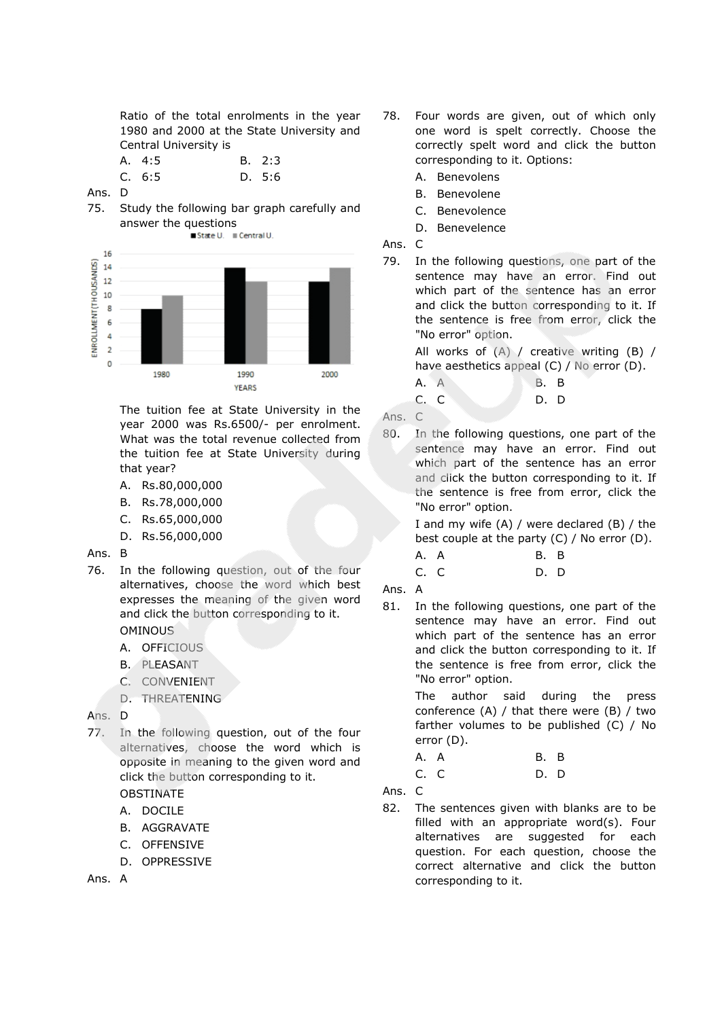Ratio of the total enrolments in the year 1980 and 2000 at the State University and Central University is

| A. 4:5 | B. 2:3 |
|--------|--------|
| C. 6:5 | D. 5:6 |

Ans. D

75. Study the following bar graph carefully and answer the questions



The tuition fee at State University in the year 2000 was Rs.6500/- per enrolment. What was the total revenue collected from the tuition fee at State University during that year?

- A. Rs.80,000,000
- B. Rs.78,000,000
- C. Rs.65,000,000
- D. Rs.56,000,000

### Ans. B

- 76. In the following question, out of the four alternatives, choose the word which best expresses the meaning of the given word and click the button corresponding to it. OMINOUS
	- A. OFFICIOUS
	- B. PLEASANT
	- C. CONVENIENT
	- D. THREATENING

### Ans. D

77. In the following question, out of the four alternatives, choose the word which is opposite in meaning to the given word and click the button corresponding to it.

# OBSTINATE

- A. DOCILE
- B. AGGRAVATE
- C. OFFENSIVE
- D. OPPRESSIVE

Ans. A

- 78. Four words are given, out of which only one word is spelt correctly. Choose the correctly spelt word and click the button corresponding to it. Options:
	- A. Benevolens
	- B. Benevolene
	- C. Benevolence
	- D. Benevelence
- Ans. C
- 79. In the following questions, one part of the sentence may have an error. Find out which part of the sentence has an error and click the button corresponding to it. If the sentence is free from error, click the "No error" option.

All works of (A) / creative writing (B) / have aesthetics appeal (C) / No error (D).

A. A B. B

C. C D. D

Ans. C

80. In the following questions, one part of the sentence may have an error. Find out which part of the sentence has an error and click the button corresponding to it. If the sentence is free from error, click the "No error" option.

> I and my wife (A) / were declared (B) / the best couple at the party (C) / No error (D).

- A. A B. B C. C D. D
- Ans. A
- 81. In the following questions, one part of the sentence may have an error. Find out which part of the sentence has an error and click the button corresponding to it. If the sentence is free from error, click the "No error" option.

The author said during the press conference (A) / that there were (B) / two farther volumes to be published (C) / No error (D).

| A. A |  | B. B |  |
|------|--|------|--|
| C. C |  | D. D |  |

Ans. C

82. The sentences given with blanks are to be filled with an appropriate word(s). Four alternatives are suggested for each question. For each question, choose the correct alternative and click the button corresponding to it.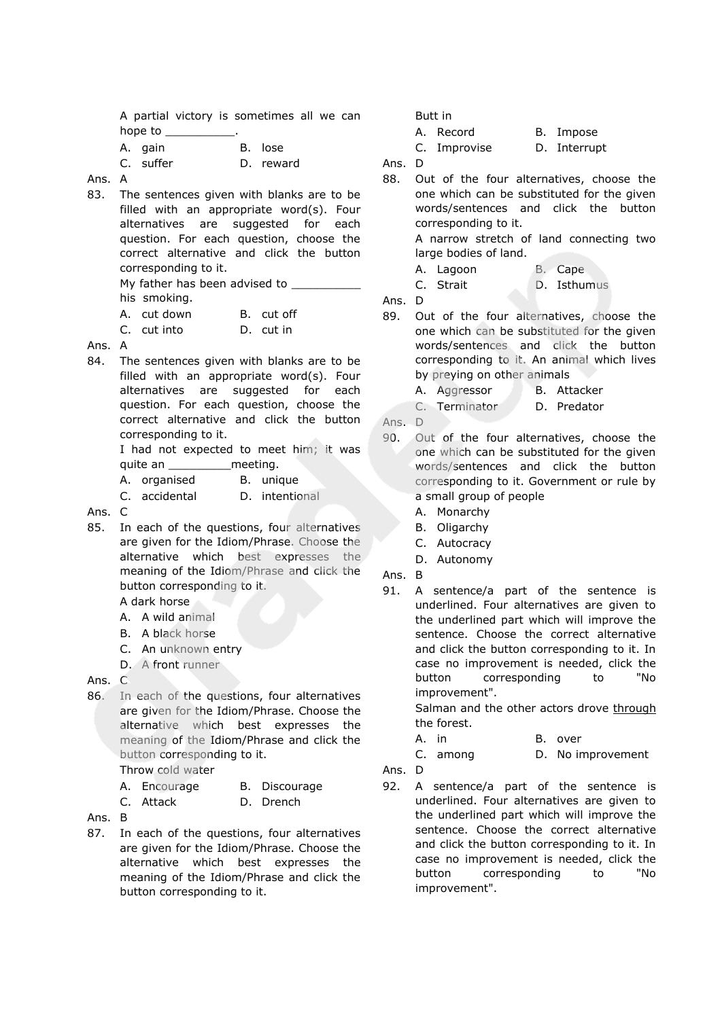|                                            |  | A partial victory is sometimes all we can |  |  |
|--------------------------------------------|--|-------------------------------------------|--|--|
| hope to                                    |  |                                           |  |  |
| $\mathbf{A}$ , and the set of $\mathbf{A}$ |  |                                           |  |  |

| A. gain   | B. lose   |
|-----------|-----------|
| C. suffer | D. reward |

Ans. A

83. The sentences given with blanks are to be filled with an appropriate word(s). Four alternatives are suggested for each question. For each question, choose the correct alternative and click the button corresponding to it. My father has been advised to

his smoking.

- A. cut down B. cut off
- C. cut into D. cut in
- Ans. A
- 84. The sentences given with blanks are to be filled with an appropriate word(s). Four alternatives are suggested for each question. For each question, choose the correct alternative and click the button corresponding to it.

I had not expected to meet him; it was quite an **meeting**.

| A. organised |  | B. unique |
|--------------|--|-----------|
|--------------|--|-----------|

- C. accidental D. intentional
- Ans. C
- 85. In each of the questions, four alternatives are given for the Idiom/Phrase. Choose the alternative which best expresses the meaning of the Idiom/Phrase and click the button corresponding to it.

A dark horse

- A. A wild animal
- B. A black horse
- C. An unknown entry
- D. A front runner

Ans. C

86. In each of the questions, four alternatives are given for the Idiom/Phrase. Choose the alternative which best expresses the meaning of the Idiom/Phrase and click the button corresponding to it.

Throw cold water

- A. Encourage B. Discourage
- C. Attack D. Drench
- Ans. B
- 87. In each of the questions, four alternatives are given for the Idiom/Phrase. Choose the alternative which best expresses the meaning of the Idiom/Phrase and click the button corresponding to it.

Butt in

A. Record B. Impose C. Improvise D. Interrupt

Ans. D

88. Out of the four alternatives, choose the one which can be substituted for the given words/sentences and click the button corresponding to it.

> A narrow stretch of land connecting two large bodies of land.

- A. Lagoon B. Cape
- C. Strait D. Isthumus

Ans. D

- 89. Out of the four alternatives, choose the one which can be substituted for the given words/sentences and click the button corresponding to it. An animal which lives by preying on other animals
	- A. Aggressor B. Attacker
	- C. Terminator D. Predator
- Ans. D
- 90. Out of the four alternatives, choose the one which can be substituted for the given words/sentences and click the button corresponding to it. Government or rule by a small group of people
	- A. Monarchy
	- B. Oligarchy
	- C. Autocracy
	- D. Autonomy
- Ans. B
- 91. A sentence/a part of the sentence is underlined. Four alternatives are given to the underlined part which will improve the sentence. Choose the correct alternative and click the button corresponding to it. In case no improvement is needed, click the button corresponding to "No improvement".

Salman and the other actors drove through the forest.

- A. in B. over
- C. among D. No improvement
- Ans. D
- 92. A sentence/a part of the sentence is underlined. Four alternatives are given to the underlined part which will improve the sentence. Choose the correct alternative and click the button corresponding to it. In case no improvement is needed, click the button corresponding to "No improvement".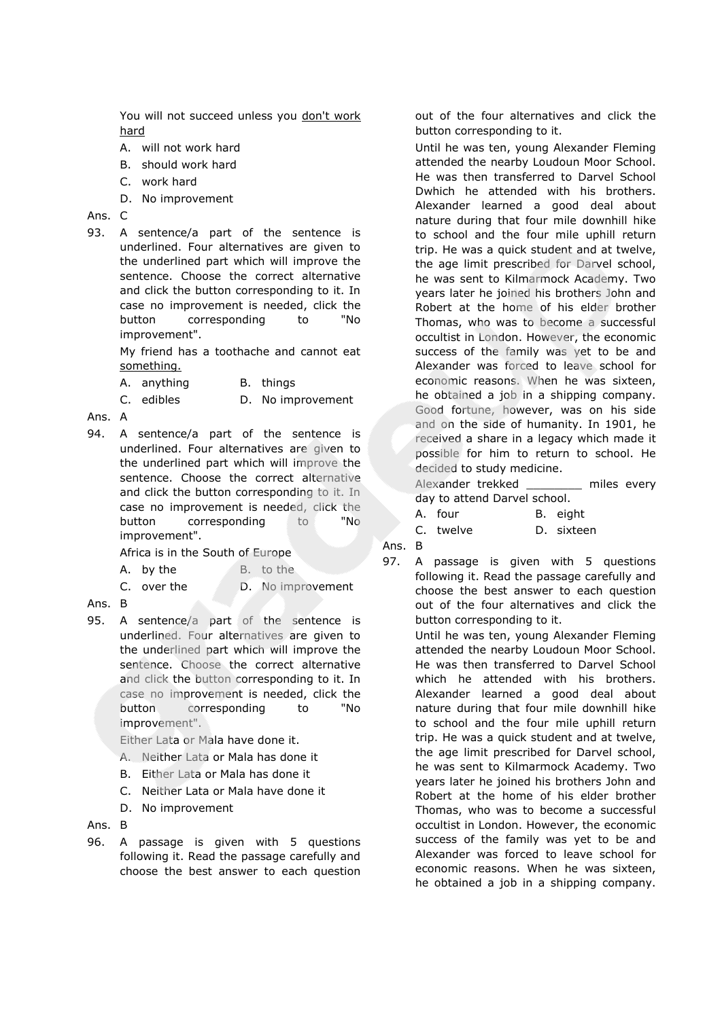You will not succeed unless you don't work hard

- A. will not work hard
- B. should work hard
- C. work hard
- D. No improvement

Ans. C

93. A sentence/a part of the sentence is underlined. Four alternatives are given to the underlined part which will improve the sentence. Choose the correct alternative and click the button corresponding to it. In case no improvement is needed, click the button corresponding to "No improvement".

> My friend has a toothache and cannot eat something.

A. anything B. things

C. edibles D. No improvement

Ans. A

94. A sentence/a part of the sentence is underlined. Four alternatives are given to the underlined part which will improve the sentence. Choose the correct alternative and click the button corresponding to it. In case no improvement is needed, click the button corresponding to "No improvement".

Africa is in the South of Europe

- A. by the B. to the
- C. over the D. No improvement
- Ans. B
- 95. A sentence/a part of the sentence is underlined. Four alternatives are given to the underlined part which will improve the sentence. Choose the correct alternative and click the button corresponding to it. In case no improvement is needed, click the button corresponding to "No improvement".

Either Lata or Mala have done it.

- A. Neither Lata or Mala has done it
- B. Either Lata or Mala has done it
- C. Neither Lata or Mala have done it
- D. No improvement

Ans. B

96. A passage is given with 5 questions following it. Read the passage carefully and choose the best answer to each question out of the four alternatives and click the button corresponding to it.

Until he was ten, young Alexander Fleming attended the nearby Loudoun Moor School. He was then transferred to Darvel School Dwhich he attended with his brothers. Alexander learned a good deal about nature during that four mile downhill hike to school and the four mile uphill return trip. He was a quick student and at twelve, the age limit prescribed for Darvel school, he was sent to Kilmarmock Academy. Two years later he joined his brothers John and Robert at the home of his elder brother Thomas, who was to become a successful occultist in London. However, the economic success of the family was yet to be and Alexander was forced to leave school for economic reasons. When he was sixteen, he obtained a job in a shipping company. Good fortune, however, was on his side and on the side of humanity. In 1901, he received a share in a legacy which made it possible for him to return to school. He decided to study medicine.

Alexander trekked \_\_\_\_\_\_\_\_ miles every day to attend Darvel school.

A. four B. eight

C. twelve D. sixteen

- Ans. B
- 97. A passage is given with 5 questions following it. Read the passage carefully and choose the best answer to each question out of the four alternatives and click the button corresponding to it.

Until he was ten, young Alexander Fleming attended the nearby Loudoun Moor School. He was then transferred to Darvel School which he attended with his brothers. Alexander learned a good deal about nature during that four mile downhill hike to school and the four mile uphill return trip. He was a quick student and at twelve, the age limit prescribed for Darvel school, he was sent to Kilmarmock Academy. Two years later he joined his brothers John and Robert at the home of his elder brother Thomas, who was to become a successful occultist in London. However, the economic success of the family was yet to be and Alexander was forced to leave school for economic reasons. When he was sixteen, he obtained a job in a shipping company.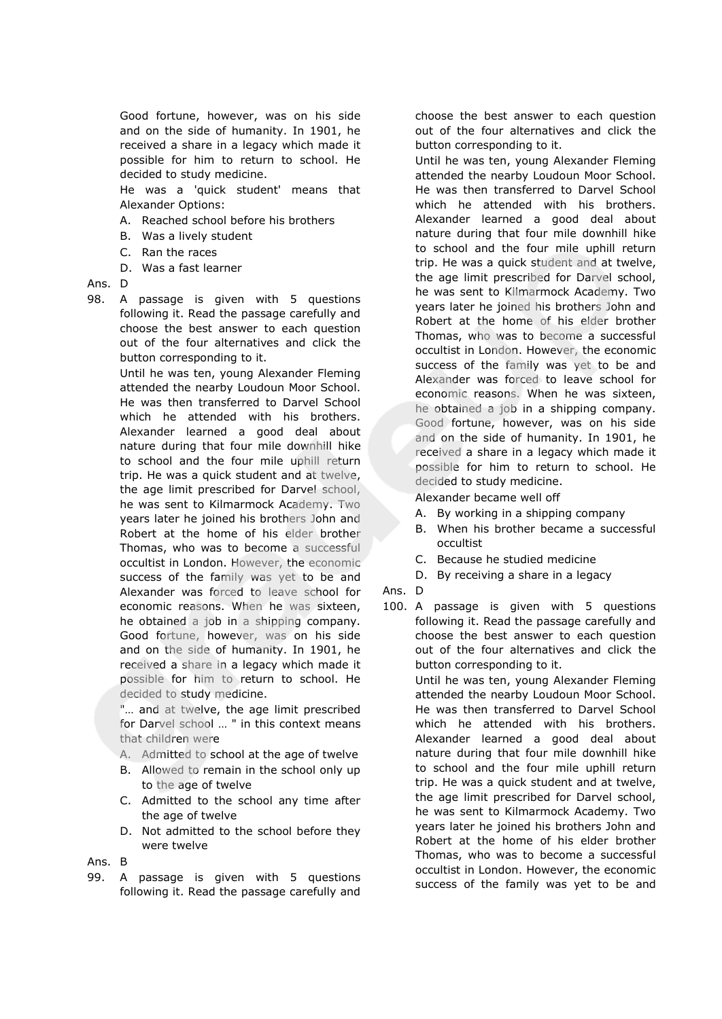Good fortune, however, was on his side and on the side of humanity. In 1901, he received a share in a legacy which made it possible for him to return to school. He decided to study medicine.

He was a 'quick student' means that Alexander Options:

- A. Reached school before his brothers
- B. Was a lively student
- C. Ran the races
- D. Was a fast learner

### Ans. D

98. A passage is given with 5 questions following it. Read the passage carefully and choose the best answer to each question out of the four alternatives and click the button corresponding to it.

> Until he was ten, young Alexander Fleming attended the nearby Loudoun Moor School. He was then transferred to Darvel School which he attended with his brothers. Alexander learned a good deal about nature during that four mile downhill hike to school and the four mile uphill return trip. He was a quick student and at twelve, the age limit prescribed for Darvel school, he was sent to Kilmarmock Academy. Two years later he joined his brothers John and Robert at the home of his elder brother Thomas, who was to become a successful occultist in London. However, the economic success of the family was yet to be and Alexander was forced to leave school for economic reasons. When he was sixteen, he obtained a job in a shipping company. Good fortune, however, was on his side and on the side of humanity. In 1901, he received a share in a legacy which made it possible for him to return to school. He decided to study medicine.

"... and at twelve, the age limit prescribed for Darvel school … " in this context means that children were

- A. Admitted to school at the age of twelve
- B. Allowed to remain in the school only up to the age of twelve
- C. Admitted to the school any time after the age of twelve
- D. Not admitted to the school before they were twelve
- Ans. B
- 99. A passage is given with 5 questions following it. Read the passage carefully and

choose the best answer to each question out of the four alternatives and click the button corresponding to it.

Until he was ten, young Alexander Fleming attended the nearby Loudoun Moor School. He was then transferred to Darvel School which he attended with his brothers. Alexander learned a good deal about nature during that four mile downhill hike to school and the four mile uphill return trip. He was a quick student and at twelve, the age limit prescribed for Darvel school, he was sent to Kilmarmock Academy. Two years later he joined his brothers John and Robert at the home of his elder brother Thomas, who was to become a successful occultist in London. However, the economic success of the family was yet to be and Alexander was forced to leave school for economic reasons. When he was sixteen, he obtained a job in a shipping company. Good fortune, however, was on his side and on the side of humanity. In 1901, he received a share in a legacy which made it possible for him to return to school. He decided to study medicine.

Alexander became well off

- A. By working in a shipping company
- B. When his brother became a successful occultist
- C. Because he studied medicine
- D. By receiving a share in a legacy
- Ans. D
- 100. A passage is given with 5 questions following it. Read the passage carefully and choose the best answer to each question out of the four alternatives and click the button corresponding to it.

Until he was ten, young Alexander Fleming attended the nearby Loudoun Moor School. He was then transferred to Darvel School which he attended with his brothers. Alexander learned a good deal about nature during that four mile downhill hike to school and the four mile uphill return trip. He was a quick student and at twelve, the age limit prescribed for Darvel school, he was sent to Kilmarmock Academy. Two years later he joined his brothers John and Robert at the home of his elder brother Thomas, who was to become a successful occultist in London. However, the economic success of the family was yet to be and